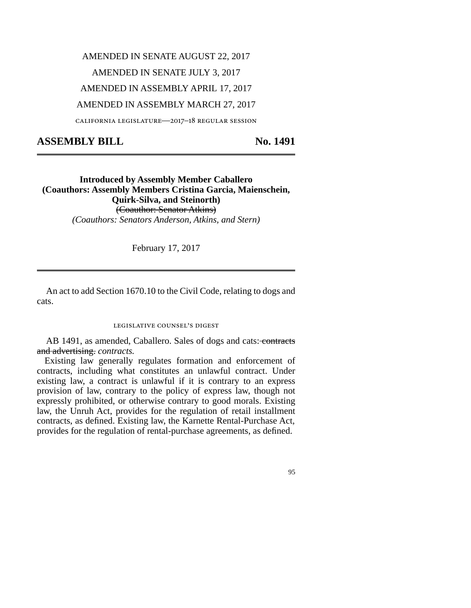#### AMENDED IN SENATE AUGUST 22, 2017

## AMENDED IN SENATE JULY 3, 2017

## AMENDED IN ASSEMBLY APRIL 17, 2017

#### AMENDED IN ASSEMBLY MARCH 27, 2017

california legislature—2017–18 regular session

# ASSEMBLY BILL No. 1491

## **Introduced by Assembly Member Caballero (Coauthors: Assembly Members Cristina Garcia, Maienschein, Quirk-Silva, and Steinorth)** (Coauthor: Senator Atkins) *(Coauthors: Senators Anderson, Atkins, and Stern)*

February 17, 2017

An act to add Section 1670.10 to the Civil Code, relating to dogs and cats.

#### legislative counsel's digest

AB 1491, as amended, Caballero. Sales of dogs and cats: contracts and advertising. *contracts.*

Existing law generally regulates formation and enforcement of contracts, including what constitutes an unlawful contract. Under existing law, a contract is unlawful if it is contrary to an express provision of law, contrary to the policy of express law, though not expressly prohibited, or otherwise contrary to good morals. Existing law, the Unruh Act, provides for the regulation of retail installment contracts, as defined. Existing law, the Karnette Rental-Purchase Act, provides for the regulation of rental-purchase agreements, as defined.

95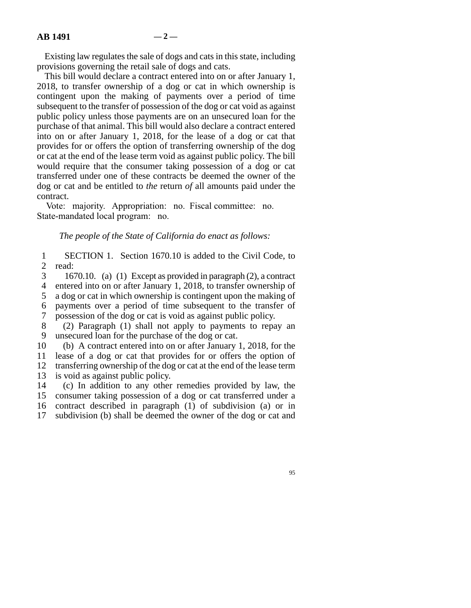Existing law regulates the sale of dogs and cats in this state, including provisions governing the retail sale of dogs and cats.

This bill would declare a contract entered into on or after January 1, 2018, to transfer ownership of a dog or cat in which ownership is contingent upon the making of payments over a period of time subsequent to the transfer of possession of the dog or cat void as against public policy unless those payments are on an unsecured loan for the purchase of that animal. This bill would also declare a contract entered into on or after January 1, 2018, for the lease of a dog or cat that provides for or offers the option of transferring ownership of the dog or cat at the end of the lease term void as against public policy. The bill would require that the consumer taking possession of a dog or cat transferred under one of these contracts be deemed the owner of the dog or cat and be entitled to *the* return *of* all amounts paid under the contract.

Vote: majority. Appropriation: no. Fiscal committee: no. State-mandated local program: no.

*The people of the State of California do enact as follows:*

1 SECTION 1. Section 1670.10 is added to the Civil Code, to 2 read:

 line 3 1670.10. (a) (1) Except as provided in paragraph (2), a contract 4 entered into on or after January 1, 2018, to transfer ownership of a dog or cat in which ownership is contingent upon the making of a dog or cat in which ownership is contingent upon the making of line 6 payments over a period of time subsequent to the transfer of 7 possession of the dog or cat is void as against public policy.

 line 8 (2) Paragraph (1) shall not apply to payments to repay an 9 unsecured loan for the purchase of the dog or cat.

10 (b) A contract entered into on or after January 1, 2018, for the

11 lease of a dog or cat that provides for or offers the option of 12 transferring ownership of the dog or cat at the end of the lease term 13 is void as against public policy.

14 (c) In addition to any other remedies provided by law, the 15 consumer taking possession of a dog or cat transferred under a 16 contract described in paragraph (1) of subdivision (a) or in 17 subdivision (b) shall be deemed the owner of the dog or cat and

95